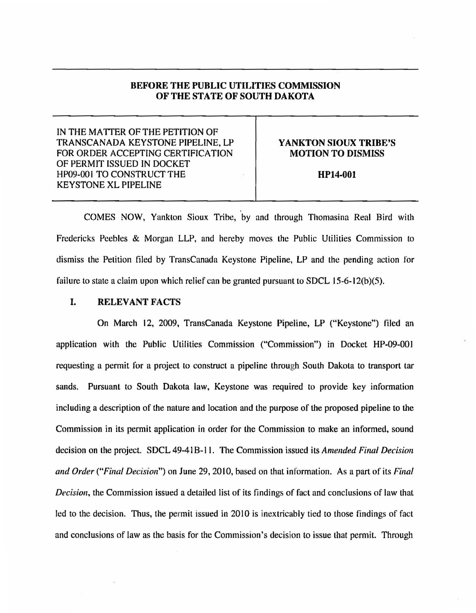## BEFORE THE PUBLIC UTILITIES COMMISSION OF THE STATE OF SOUTH DAKOTA

IN THE MA TIER OF THE PETITION OF TRANSCANADA KEYSTONE PIPELINE, LP FOR ORDER ACCEPTING CERTIFICATION OF PERMIT ISSUED IN DOCKET HP09-001 TO CONSTRUCT THE KEYSTONE XL PIPELINE

### YANKTON SIOUX TRIBE'S MOTION TO DISMISS

HP14-001

COMES NOW, Yankton Sioux Tribe, by and through Thomasina Real Bird with Fredericks Peebles & Morgan LLP, and hereby moves the Public Utilities Commission to dismiss the Petition tiled by TransCanada Keystone Pipeline, LP and the pending action for failure to state a claim upon which relief can be granted pursuant to SDCL 15-6-12(b)(5).

# I. RELEVANT FACTS

On March 12, 2009, TransCanada Keystone Pipeline, LP ("Keystone") filed an application with the Public Utilities Commission ("Commission") in Docket HP-09-001 requesting a permit for a project to construct a pipeline through South Dakota to transport tar sands. Pursuant to South Dakota law, Keystone was required to provide key information including a description of the nature and location and the purpose of the proposed pipeline to the Commission in its permit application in order for the Commission to make an informed, sound decision on the project. SDCL 49-41 B-11. The Commission issued its *Amended Final Decision and Order ("Final Decision")* on June 29, 2010, based on that information. As a part of its *Final Decision,* the Commission issued a detailed list of its findings of fact and conclusions of law that led to the decision. Thus, the permit issued in 2010 is inextricably tied to those findings of fact and conclusions of law as the basis for the Commission's decision to issue that permit. Through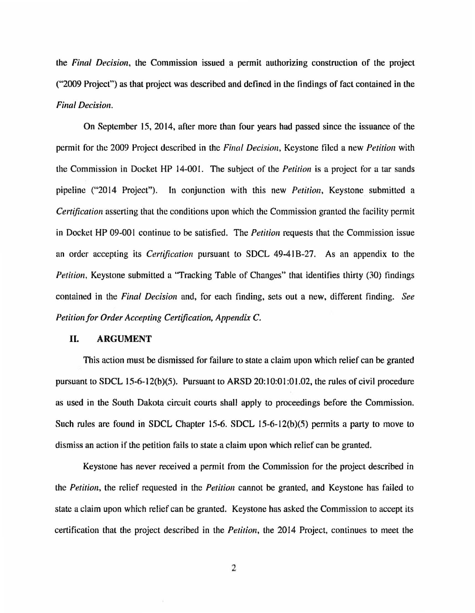the *Final Decision,* the Commission issued a permit authorizing construction of the project ("2009 Project") as that project was described and defined in the lindings of fact contained in the *Final Decision.* 

On September 15, 2014, after more than four years had passed since the issuance of the permit for the 2009 Project described in the *Final Decision,* Keystone filed a new *Petition* with the Commission in Docket HP 14-001. The subject of the *Petition* is a project for a tar sands pipeline ("20 14 Project"). In conjunction with this new *Petition,* Keystone submitted a *Certification* asserting that the conditions upon which the Commission granted the facility permit in Docket HP 09-001 continue to be satisfied. The *Petition* requests that the Commission issue an order accepting its *Certification* pursuant to SDCL 49-41B-27. As an appendix to the *Petition,* Keystone submitted a "Tracking Table of Changes" that identifies thirty (30) findings contained in the *Final Decision* and, for each finding, sets out a new, different finding. *See Petition for Order Accepting Certification, Appendix* C.

#### II. **ARGUMENT**

This action must be dismissed for failure to state a claim upon which relief can be granted pursuant to SDCL 15-6-12(b)(5). Pursuant to ARSD  $20:10:01:01.02$ , the rules of civil procedure as used in the South Dakota circuit courts shall apply to proceedings before the Commission. Such rules are found in SDCL Chapter 15-6. SDCL 15-6-12(b)(5) permits a party to move to dismiss an action if the petition fails to state a claim upon which relief can be granted.

Keystone has never received a permit from the Commission for the project described in the *Petition,* the relief requested in the *Petition* cannot be granted, and Keystone has failed to state a claim upon which relief can be granted. Keystone has asked the Commission to accept its certification that the project described in the *Petition,* the 2014 Project, continues to meet the

2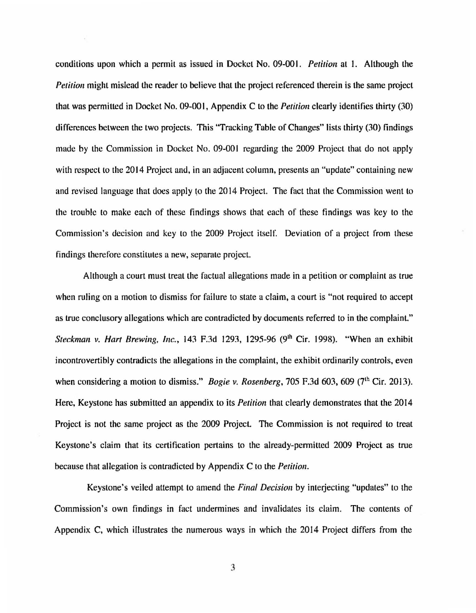conditions upon which a permit as issued in Docket No. 09-00 I. *Petition* at 1. Although the *Petition* might mislead the reader to believe that the project referenced therein is the same project that was permitted in Docket No. 09-00 I, Appendix C to the *Petition* clearly identifies thirty (30) differences between the two projects. This "Tracking Table of Changes" lists thirty (30) findings made by the Commission in Docket No. 09-001 regarding the 2009 Project that do not apply with respect to the 2014 Project and, in an adjacent column, presents an "update" containing new and revised language that does apply to the 2014 Project. The fact that the Commission went to the trouble to make each of these findings shows that each of these findings was key to the Commission's decision and key to the 2009 Project itself. Deviation of a project from these findings therefore constitutes a new, separate project.

Although a court must treat the factual allegations made in a petition or complaint as true when ruling on a motion to dismiss for failure to state a claim, a court is "not required to accept as true conclusory allegations which are contradicted by documents referred to in the complaint." *Steckman v. Hart Brewing, Inc.*, 143 F.3d 1293, 1295-96 (9<sup>th</sup> Cir. 1998). "When an exhibit incontrovertibly contradicts the allegations in the complaint, the exhibit ordinarily controls, even when considering a motion to dismiss." *Bogie v. Rosenberg*, 705 F.3d 603, 609 (7<sup>th</sup> Cir. 2013). Here, Keystone has submitted an appendix to its *Petition* that clearly demonstrates that the 2014 Project is not the same project as the 2009 Project. The Commission is not required to treat Keystone's claim that its certification pertains to the already-permitted 2009 Project as true because that allegation is contradicted by Appendix C to the *Petition.* 

Keystone's veiled attempt to amend the *Final Decision* by interjecting "updates" to the Commission's own findings in fact undermines and invalidates its claim. The contents of Appendix C, which illustrates the numerous ways in which the 2014 Project differs from the